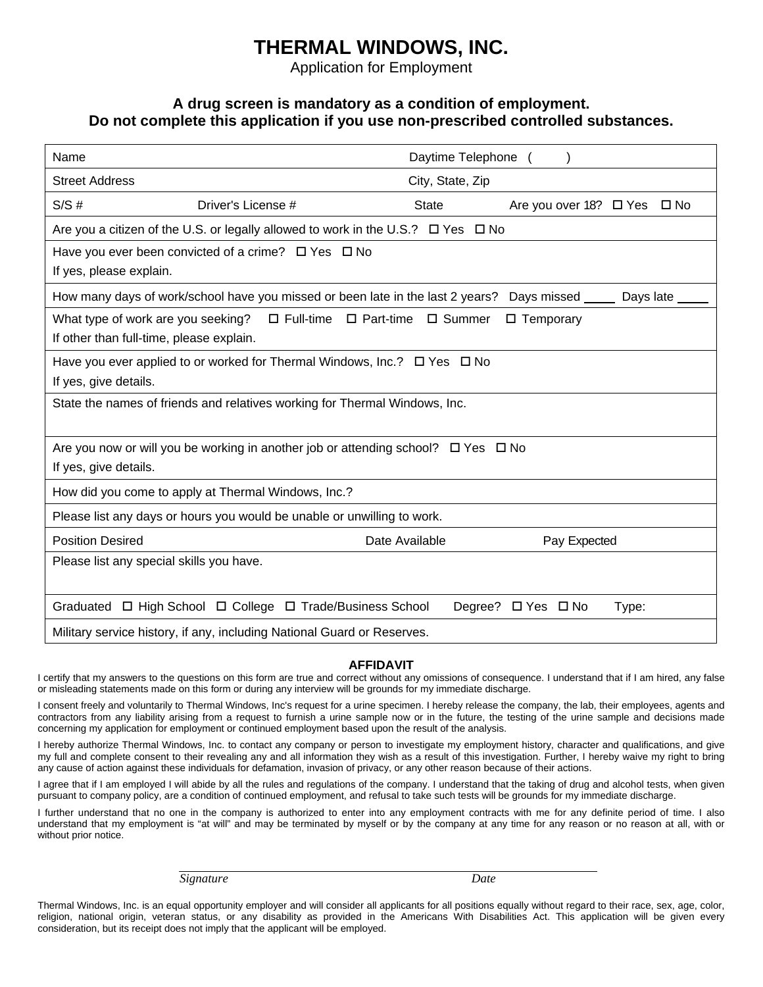## **THERMAL WINDOWS, INC.**

Application for Employment

### **A drug screen is mandatory as a condition of employment. Do not complete this application if you use non-prescribed controlled substances.**

| Name                                                                                                    | Daytime Telephone                                                                          |  |  |  |  |
|---------------------------------------------------------------------------------------------------------|--------------------------------------------------------------------------------------------|--|--|--|--|
| <b>Street Address</b>                                                                                   | City, State, Zip                                                                           |  |  |  |  |
| S/S#<br>Driver's License #                                                                              | <b>State</b><br>Are you over 18? $\Box$ Yes<br>$\square$ No                                |  |  |  |  |
|                                                                                                         | Are you a citizen of the U.S. or legally allowed to work in the U.S.? $\Box$ Yes $\Box$ No |  |  |  |  |
| Have you ever been convicted of a crime? $\Box$ Yes $\Box$ No                                           |                                                                                            |  |  |  |  |
| If yes, please explain.                                                                                 |                                                                                            |  |  |  |  |
| How many days of work/school have you missed or been late in the last 2 years? Days missed<br>Days late |                                                                                            |  |  |  |  |
| $\Box$ Full-time $\Box$ Part-time<br>What type of work are you seeking?<br>□ Summer<br>□ Temporary      |                                                                                            |  |  |  |  |
| If other than full-time, please explain.                                                                |                                                                                            |  |  |  |  |
| Have you ever applied to or worked for Thermal Windows, Inc.? $\Box$ Yes $\Box$ No                      |                                                                                            |  |  |  |  |
| If yes, give details.                                                                                   |                                                                                            |  |  |  |  |
| State the names of friends and relatives working for Thermal Windows, Inc.                              |                                                                                            |  |  |  |  |
|                                                                                                         |                                                                                            |  |  |  |  |
| Are you now or will you be working in another job or attending school? $\Box$ Yes $\Box$ No             |                                                                                            |  |  |  |  |
| If yes, give details.                                                                                   |                                                                                            |  |  |  |  |
| How did you come to apply at Thermal Windows, Inc.?                                                     |                                                                                            |  |  |  |  |
| Please list any days or hours you would be unable or unwilling to work.                                 |                                                                                            |  |  |  |  |
| <b>Position Desired</b>                                                                                 | Date Available<br>Pay Expected                                                             |  |  |  |  |
| Please list any special skills you have.                                                                |                                                                                            |  |  |  |  |
|                                                                                                         |                                                                                            |  |  |  |  |
| Graduated □ High School □ College □ Trade/Business School                                               | Degree? □ Yes □ No<br>Type:                                                                |  |  |  |  |
| Military service history, if any, including National Guard or Reserves.                                 |                                                                                            |  |  |  |  |

#### **AFFIDAVIT**

I certify that my answers to the questions on this form are true and correct without any omissions of consequence. I understand that if I am hired, any false or misleading statements made on this form or during any interview will be grounds for my immediate discharge.

I consent freely and voluntarily to Thermal Windows, Inc's request for a urine specimen. I hereby release the company, the lab, their employees, agents and contractors from any liability arising from a request to furnish a urine sample now or in the future, the testing of the urine sample and decisions made concerning my application for employment or continued employment based upon the result of the analysis.

I hereby authorize Thermal Windows, Inc. to contact any company or person to investigate my employment history, character and qualifications, and give my full and complete consent to their revealing any and all information they wish as a result of this investigation. Further, I hereby waive my right to bring any cause of action against these individuals for defamation, invasion of privacy, or any other reason because of their actions.

I agree that if I am employed I will abide by all the rules and regulations of the company. I understand that the taking of drug and alcohol tests, when given pursuant to company policy, are a condition of continued employment, and refusal to take such tests will be grounds for my immediate discharge.

I further understand that no one in the company is authorized to enter into any employment contracts with me for any definite period of time. I also understand that my employment is "at will" and may be terminated by myself or by the company at any time for any reason or no reason at all, with or without prior notice.

*Signature Date* 

Thermal Windows, Inc. is an equal opportunity employer and will consider all applicants for all positions equally without regard to their race, sex, age, color, religion, national origin, veteran status, or any disability as provided in the Americans With Disabilities Act. This application will be given every consideration, but its receipt does not imply that the applicant will be employed.